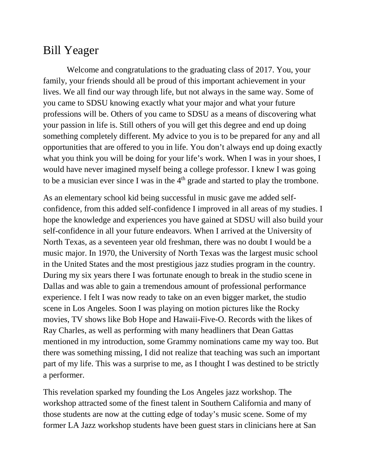## Bill Yeager

Welcome and congratulations to the graduating class of 2017. You, your family, your friends should all be proud of this important achievement in your lives. We all find our way through life, but not always in the same way. Some of you came to SDSU knowing exactly what your major and what your future professions will be. Others of you came to SDSU as a means of discovering what your passion in life is. Still others of you will get this degree and end up doing something completely different. My advice to you is to be prepared for any and all opportunities that are offered to you in life. You don't always end up doing exactly what you think you will be doing for your life's work. When I was in your shoes, I would have never imagined myself being a college professor. I knew I was going to be a musician ever since I was in the  $4<sup>th</sup>$  grade and started to play the trombone.

As an elementary school kid being successful in music gave me added selfconfidence, from this added self-confidence I improved in all areas of my studies. I hope the knowledge and experiences you have gained at SDSU will also build your self-confidence in all your future endeavors. When I arrived at the University of North Texas, as a seventeen year old freshman, there was no doubt I would be a music major. In 1970, the University of North Texas was the largest music school in the United States and the most prestigious jazz studies program in the country. During my six years there I was fortunate enough to break in the studio scene in Dallas and was able to gain a tremendous amount of professional performance experience. I felt I was now ready to take on an even bigger market, the studio scene in Los Angeles. Soon I was playing on motion pictures like the Rocky movies, TV shows like Bob Hope and Hawaii-Five-O. Records with the likes of Ray Charles, as well as performing with many headliners that Dean Gattas mentioned in my introduction, some Grammy nominations came my way too. But there was something missing, I did not realize that teaching was such an important part of my life. This was a surprise to me, as I thought I was destined to be strictly a performer.

This revelation sparked my founding the Los Angeles jazz workshop. The workshop attracted some of the finest talent in Southern California and many of those students are now at the cutting edge of today's music scene. Some of my former LA Jazz workshop students have been guest stars in clinicians here at San